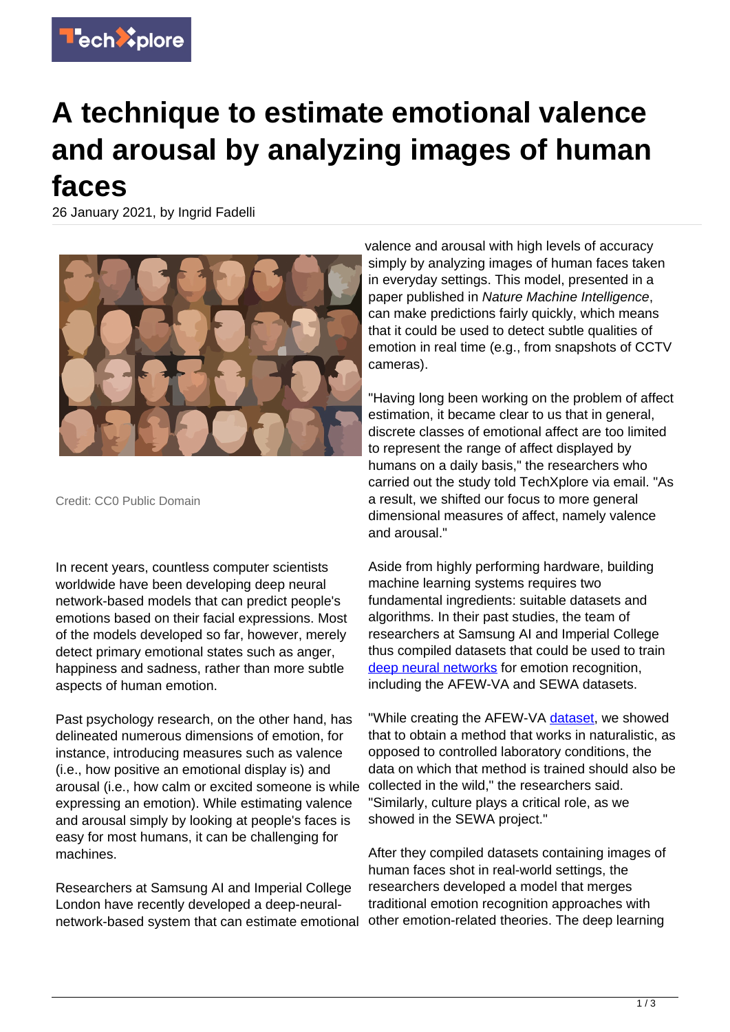

## **A technique to estimate emotional valence and arousal by analyzing images of human faces**

26 January 2021, by Ingrid Fadelli



Credit: CC0 Public Domain

In recent years, countless computer scientists worldwide have been developing deep neural network-based models that can predict people's emotions based on their facial expressions. Most of the models developed so far, however, merely detect primary emotional states such as anger, happiness and sadness, rather than more subtle aspects of human emotion.

Past psychology research, on the other hand, has delineated numerous dimensions of emotion, for instance, introducing measures such as valence (i.e., how positive an emotional display is) and arousal (i.e., how calm or excited someone is while expressing an emotion). While estimating valence and arousal simply by looking at people's faces is easy for most humans, it can be challenging for machines.

Researchers at Samsung AI and Imperial College London have recently developed a deep-neuralnetwork-based system that can estimate emotional

valence and arousal with high levels of accuracy simply by analyzing images of human faces taken in everyday settings. This model, presented in a paper published in Nature Machine Intelligence, can make predictions fairly quickly, which means that it could be used to detect subtle qualities of emotion in real time (e.g., from snapshots of CCTV cameras).

"Having long been working on the problem of affect estimation, it became clear to us that in general, discrete classes of emotional affect are too limited to represent the range of affect displayed by humans on a daily basis," the researchers who carried out the study told TechXplore via email. "As a result, we shifted our focus to more general dimensional measures of affect, namely valence and arousal."

Aside from highly performing hardware, building machine learning systems requires two fundamental ingredients: suitable datasets and algorithms. In their past studies, the team of researchers at Samsung AI and Imperial College thus compiled datasets that could be used to train [deep neural networks](https://techxplore.com/tags/deep+neural+networks/) for emotion recognition, including the AFEW-VA and SEWA datasets.

"While creating the AFEW-VA [dataset,](https://techxplore.com/tags/dataset/) we showed that to obtain a method that works in naturalistic, as opposed to controlled laboratory conditions, the data on which that method is trained should also be collected in the wild," the researchers said. "Similarly, culture plays a critical role, as we showed in the SEWA project."

After they compiled datasets containing images of human faces shot in real-world settings, the researchers developed a model that merges traditional emotion recognition approaches with other emotion-related theories. The deep learning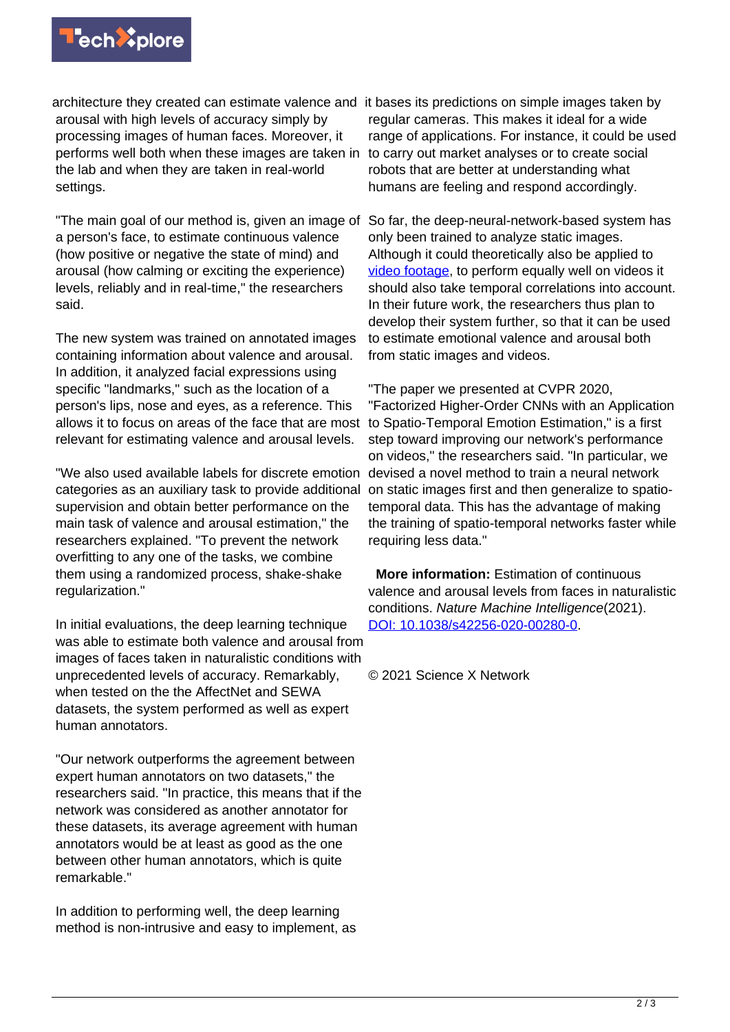

architecture they created can estimate valence and it bases its predictions on simple images taken by arousal with high levels of accuracy simply by processing images of human faces. Moreover, it performs well both when these images are taken in the lab and when they are taken in real-world settings.

"The main goal of our method is, given an image of a person's face, to estimate continuous valence (how positive or negative the state of mind) and arousal (how calming or exciting the experience) levels, reliably and in real-time," the researchers said.

The new system was trained on annotated images containing information about valence and arousal. In addition, it analyzed facial expressions using specific "landmarks," such as the location of a person's lips, nose and eyes, as a reference. This allows it to focus on areas of the face that are most relevant for estimating valence and arousal levels.

"We also used available labels for discrete emotion devised a novel method to train a neural network categories as an auxiliary task to provide additional supervision and obtain better performance on the main task of valence and arousal estimation," the researchers explained. "To prevent the network overfitting to any one of the tasks, we combine them using a randomized process, shake-shake regularization."

In initial evaluations, the deep learning technique was able to estimate both valence and arousal from images of faces taken in naturalistic conditions with unprecedented levels of accuracy. Remarkably, when tested on the the AffectNet and SEWA datasets, the system performed as well as expert human annotators.

"Our network outperforms the agreement between expert human annotators on two datasets," the researchers said. "In practice, this means that if the network was considered as another annotator for these datasets, its average agreement with human annotators would be at least as good as the one between other human annotators, which is quite remarkable."

In addition to performing well, the deep learning method is non-intrusive and easy to implement, as

regular cameras. This makes it ideal for a wide range of applications. For instance, it could be used to carry out market analyses or to create social robots that are better at understanding what humans are feeling and respond accordingly.

So far, the deep-neural-network-based system has only been trained to analyze static images. Although it could theoretically also be applied to [video footage,](https://techxplore.com/tags/video+footage/) to perform equally well on videos it should also take temporal correlations into account. In their future work, the researchers thus plan to develop their system further, so that it can be used to estimate emotional valence and arousal both from static images and videos.

"The paper we presented at CVPR 2020, "Factorized Higher-Order CNNs with an Application to Spatio-Temporal Emotion Estimation," is a first step toward improving our network's performance on videos," the researchers said. "In particular, we on static images first and then generalize to spatiotemporal data. This has the advantage of making the training of spatio-temporal networks faster while requiring less data."

 **More information:** Estimation of continuous valence and arousal levels from faces in naturalistic conditions. Nature Machine Intelligence(2021). [DOI: 10.1038/s42256-020-00280-0](http://dx.doi.org/10.1038/s42256-020-00280-0).

© 2021 Science X Network